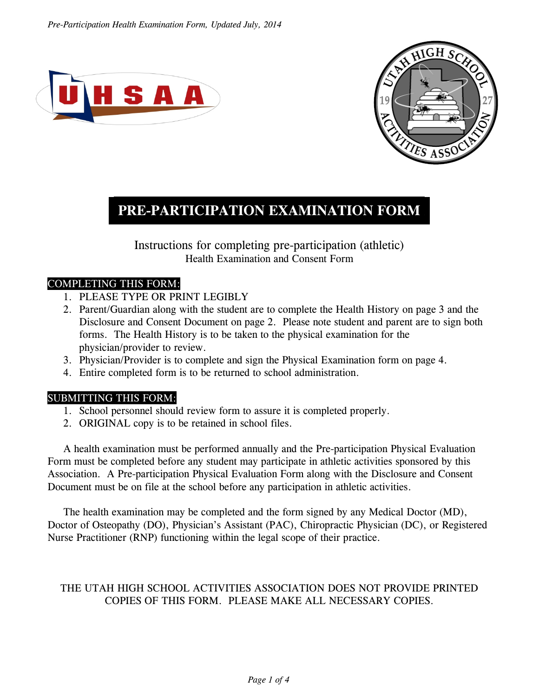



# **PRE-PARTICIPATION EXAMINATION FORM .**

Instructions for completing pre-participation (athletic) Health Examination and Consent Form

#### COMPLETING THIS FORM:

- 1. PLEASE TYPE OR PRINT LEGIBLY
- 2. Parent/Guardian along with the student are to complete the Health History on page 3 and the Disclosure and Consent Document on page 2. Please note student and parent are to sign both forms. The Health History is to be taken to the physical examination for the physician/provider to review.
- 3. Physician/Provider is to complete and sign the Physical Examination form on page 4.
- 4. Entire completed form is to be returned to school administration.

#### SUBMITTING THIS FORM:

- 1. School personnel should review form to assure it is completed properly.
- 2. ORIGINAL copy is to be retained in school files.

A health examination must be performed annually and the Pre-participation Physical Evaluation Form must be completed before any student may participate in athletic activities sponsored by this Association. A Pre-participation Physical Evaluation Form along with the Disclosure and Consent Document must be on file at the school before any participation in athletic activities.

The health examination may be completed and the form signed by any Medical Doctor (MD), Doctor of Osteopathy (DO), Physician's Assistant (PAC), Chiropractic Physician (DC), or Registered Nurse Practitioner (RNP) functioning within the legal scope of their practice.

## THE UTAH HIGH SCHOOL ACTIVITIES ASSOCIATION DOES NOT PROVIDE PRINTED COPIES OF THIS FORM. PLEASE MAKE ALL NECESSARY COPIES.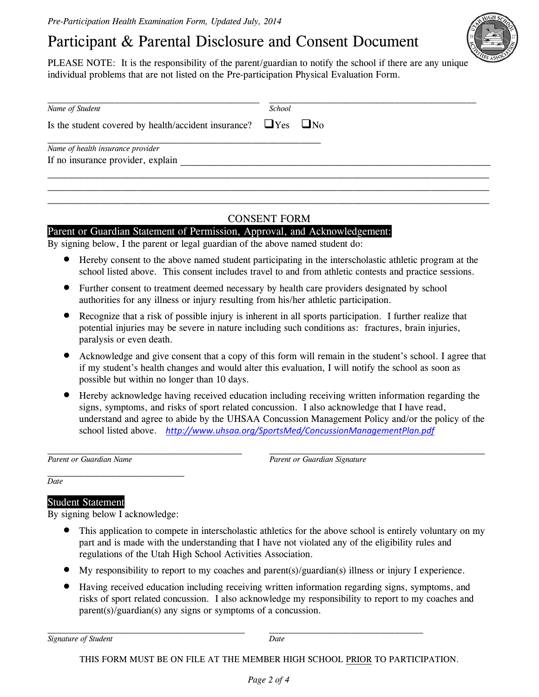# Participant & Parental Disclosure and Consent Document

PLEASE NOTE: It is the responsibility of the parent/guardian to notify the school if there are any unique individual problems that are not listed on the Pre-participation Physical Evaluation Form.

| Is the student covered by health/accident insurance? $\Box$ Yes $\Box$ No |  |
|---------------------------------------------------------------------------|--|
| Name of health insurance provider                                         |  |
| If no insurance provider, explain                                         |  |

#### CONSENT FORM

#### Parent or Guardian Statement of Permission, Approval, and Acknowledgement:

By signing below, I the parent or legal guardian of the above named student do:

- Hereby consent to the above named student participating in the interscholastic athletic program at the school listed above. This consent includes travel to and from athletic contests and practice sessions.
- Further consent to treatment deemed necessary by health care providers designated by school authorities for any illness or injury resulting from his/her athletic participation.
- Recognize that a risk of possible injury is inherent in all sports participation. I further realize that potential injuries may be severe in nature including such conditions as: fractures, brain injuries, paralysis or even death.
- Acknowledge and give consent that a copy of this form will remain in the student's school. I agree that if my student's health changes and would alter this evaluation, I will notify the school as soon as possible but within no longer than 10 days.
- Hereby acknowledge having received education including receiving written information regarding the signs, symptoms, and risks of sport related concussion. I also acknowledge that I have read, understand and agree to abide by the UHSAA Concussion Management Policy and/or the policy of the school listed above. *http://www.uhsaa.org/SportsMed/ConcussionManagementPlan.pdf*

Parent or Guardian Name **Parent or Guardian Signature** *Parent or Guardian Signature* 

*Date* 

#### Student Statement

By signing below I acknowledge:

- This application to compete in interscholastic athletics for the above school is entirely voluntary on my part and is made with the understanding that I have not violated any of the eligibility rules and regulations of the Utah High School Activities Association.
- My responsibility to report to my coaches and parent(s)/guardian(s) illness or injury I experience.
- Having received education including receiving written information regarding signs, symptoms, and risks of sport related concussion. I also acknowledge my responsibility to report to my coaches and parent(s)/guardian(s) any signs or symptoms of a concussion.

*Signature of Student Date*

THIS FORM MUST BE ON FILE AT THE MEMBER HIGH SCHOOL PRIOR TO PARTICIPATION.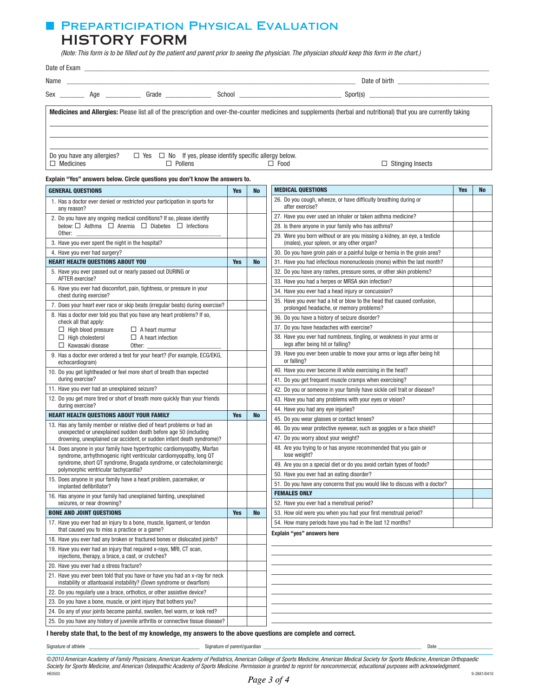## **FI PREPARTICIPATION PHYSICAL EVALUATION** HISTORY FORM

 *(Note: This form is to be filled out by the patient and parent prior to seeing the physician. The physician should keep this form in the chart.)*

|                  |                            | Sex ___________ Age ______________ Grade ________________ |                                                                      |             |                                                                                                                                                                    |  |
|------------------|----------------------------|-----------------------------------------------------------|----------------------------------------------------------------------|-------------|--------------------------------------------------------------------------------------------------------------------------------------------------------------------|--|
|                  |                            |                                                           |                                                                      |             | Medicines and Allergies: Please list all of the prescription and over-the-counter medicines and supplements (herbal and nutritional) that you are currently taking |  |
| $\Box$ Medicines | Do you have any allergies? | $\Box$ Pollens                                            | $\Box$ Yes $\Box$ No If yes, please identify specific allergy below. | $\Box$ Food | $\Box$ Stinging Insects                                                                                                                                            |  |

#### Explain "Yes" answers below. Circle questions you don't know the answers to.

| <b>GENERAL QUESTIONS</b>                                                                                                                            |            | <b>No</b> | <b>MEDICAL QUESTIONS</b>                                                                                               | <b>Yes</b> | No |
|-----------------------------------------------------------------------------------------------------------------------------------------------------|------------|-----------|------------------------------------------------------------------------------------------------------------------------|------------|----|
| 1. Has a doctor ever denied or restricted your participation in sports for<br>any reason?                                                           |            |           | 26. Do you cough, wheeze, or have difficulty breathing during or<br>after exercise?                                    |            |    |
| 2. Do you have any ongoing medical conditions? If so, please identify                                                                               |            |           | 27. Have you ever used an inhaler or taken asthma medicine?                                                            |            |    |
| below: □ Asthma □ Anemia □ Diabetes □ Infections                                                                                                    |            |           | 28. Is there anyone in your family who has asthma?                                                                     |            |    |
| Other:<br>3. Have you ever spent the night in the hospital?                                                                                         |            |           | 29. Were you born without or are you missing a kidney, an eye, a testicle<br>(males), your spleen, or any other organ? |            |    |
| 4. Have you ever had surgery?                                                                                                                       |            |           | 30. Do you have groin pain or a painful bulge or hernia in the groin area?                                             |            |    |
| <b>HEART HEALTH QUESTIONS ABOUT YOU</b>                                                                                                             |            | <b>No</b> | 31. Have you had infectious mononucleosis (mono) within the last month?                                                |            |    |
| 5. Have you ever passed out or nearly passed out DURING or                                                                                          |            |           | 32. Do you have any rashes, pressure sores, or other skin problems?                                                    |            |    |
| AFTER exercise?                                                                                                                                     |            |           | 33. Have you had a herpes or MRSA skin infection?                                                                      |            |    |
| 6. Have you ever had discomfort, pain, tightness, or pressure in your<br>chest during exercise?                                                     |            |           | 34. Have you ever had a head injury or concussion?                                                                     |            |    |
| 7. Does your heart ever race or skip beats (irregular beats) during exercise?                                                                       |            |           | 35. Have you ever had a hit or blow to the head that caused confusion.<br>prolonged headache, or memory problems?      |            |    |
| 8. Has a doctor ever told you that you have any heart problems? If so,                                                                              |            |           | 36. Do you have a history of seizure disorder?                                                                         |            |    |
| check all that apply:<br>$\Box$ High blood pressure<br>$\Box$ A heart murmur                                                                        |            |           | 37. Do you have headaches with exercise?                                                                               |            |    |
| $\Box$ High cholesterol<br>$\Box$ A heart infection<br>$\Box$ Kawasaki disease<br>Other:                                                            |            |           | 38. Have you ever had numbness, tingling, or weakness in your arms or<br>legs after being hit or falling?              |            |    |
| 9. Has a doctor ever ordered a test for your heart? (For example, ECG/EKG,<br>echocardiogram)                                                       |            |           | 39. Have you ever been unable to move your arms or legs after being hit<br>or falling?                                 |            |    |
| 10. Do you get lightheaded or feel more short of breath than expected                                                                               |            |           | 40. Have you ever become ill while exercising in the heat?                                                             |            |    |
| during exercise?                                                                                                                                    |            |           | 41. Do you get frequent muscle cramps when exercising?                                                                 |            |    |
| 11. Have you ever had an unexplained seizure?                                                                                                       |            |           | 42. Do you or someone in your family have sickle cell trait or disease?                                                |            |    |
| 12. Do you get more tired or short of breath more quickly than your friends                                                                         |            |           | 43. Have you had any problems with your eyes or vision?                                                                |            |    |
| during exercise?                                                                                                                                    | <b>Yes</b> |           | 44. Have you had any eye injuries?                                                                                     |            |    |
| <b>HEART HEALTH QUESTIONS ABOUT YOUR FAMILY</b>                                                                                                     |            | <b>No</b> | 45. Do you wear glasses or contact lenses?                                                                             |            |    |
| 13. Has any family member or relative died of heart problems or had an<br>unexpected or unexplained sudden death before age 50 (including           |            |           | 46. Do you wear protective eyewear, such as goggles or a face shield?                                                  |            |    |
| drowning, unexplained car accident, or sudden infant death syndrome)?                                                                               |            |           | 47. Do you worry about your weight?                                                                                    |            |    |
| 14. Does anyone in your family have hypertrophic cardiomyopathy, Marfan<br>syndrome, arrhythmogenic right ventricular cardiomyopathy, long QT       |            |           | 48. Are you trying to or has anyone recommended that you gain or<br>lose weight?                                       |            |    |
| syndrome, short QT syndrome, Brugada syndrome, or catecholaminergic<br>polymorphic ventricular tachycardia?                                         |            |           | 49. Are you on a special diet or do you avoid certain types of foods?                                                  |            |    |
| 15. Does anyone in your family have a heart problem, pacemaker, or                                                                                  |            |           | 50. Have you ever had an eating disorder?                                                                              |            |    |
| implanted defibrillator?                                                                                                                            |            |           | 51. Do you have any concerns that you would like to discuss with a doctor?                                             |            |    |
| 16. Has anyone in your family had unexplained fainting, unexplained                                                                                 |            |           | <b>FEMALES ONLY</b>                                                                                                    |            |    |
| seizures, or near drowning?                                                                                                                         |            |           | 52. Have you ever had a menstrual period?                                                                              |            |    |
| <b>BONE AND JOINT QUESTIONS</b>                                                                                                                     | <b>Yes</b> | <b>No</b> | 53. How old were you when you had your first menstrual period?                                                         |            |    |
| 17. Have you ever had an injury to a bone, muscle, ligament, or tendon<br>that caused you to miss a practice or a game?                             |            |           | 54. How many periods have you had in the last 12 months?<br>Explain "yes" answers here                                 |            |    |
| 18. Have you ever had any broken or fractured bones or dislocated joints?                                                                           |            |           |                                                                                                                        |            |    |
| 19. Have you ever had an injury that required x-rays, MRI, CT scan,<br>injections, therapy, a brace, a cast, or crutches?                           |            |           |                                                                                                                        |            |    |
| 20. Have you ever had a stress fracture?                                                                                                            |            |           |                                                                                                                        |            |    |
| 21. Have you ever been told that you have or have you had an x-ray for neck<br>instability or atlantoaxial instability? (Down syndrome or dwarfism) |            |           |                                                                                                                        |            |    |
| 22. Do you regularly use a brace, orthotics, or other assistive device?                                                                             |            |           |                                                                                                                        |            |    |
| 23. Do you have a bone, muscle, or joint injury that bothers you?                                                                                   |            |           |                                                                                                                        |            |    |
| 24. Do any of your joints become painful, swollen, feel warm, or look red?                                                                          |            |           |                                                                                                                        |            |    |
| 25. Do you have any history of juvenile arthritis or connective tissue disease?                                                                     |            |           |                                                                                                                        |            |    |

I hereby state that, to the best of my knowledge, my answers to the above questions are complete and correct.

Signature of athlete \_\_\_\_\_\_\_\_\_\_\_\_\_\_\_\_\_\_\_\_\_\_\_\_\_\_\_\_\_\_\_\_\_\_\_\_\_\_\_\_\_\_ Signature of parent/guardian \_\_\_\_\_\_\_\_\_\_\_\_\_\_\_\_\_\_\_\_\_\_\_\_\_\_\_\_\_\_\_\_\_\_\_\_\_\_\_\_\_\_\_\_\_\_\_\_\_\_\_\_\_\_\_\_\_\_\_\_ Date \_\_\_\_\_\_\_\_\_\_\_\_\_\_\_\_\_\_\_\_\_

©*2010 American Academy of Family Physicians, American Academy of Pediatrics, American College of Sports Medicine, American Medical Society for Sports Medicine, American Orthopaedic Society for Sports Medicine, and American Osteopathic Academy of Sports Medicine. Permission is granted to reprint for noncommercial, educational purposes with acknowledgment.* HE0503 9-2681/0410